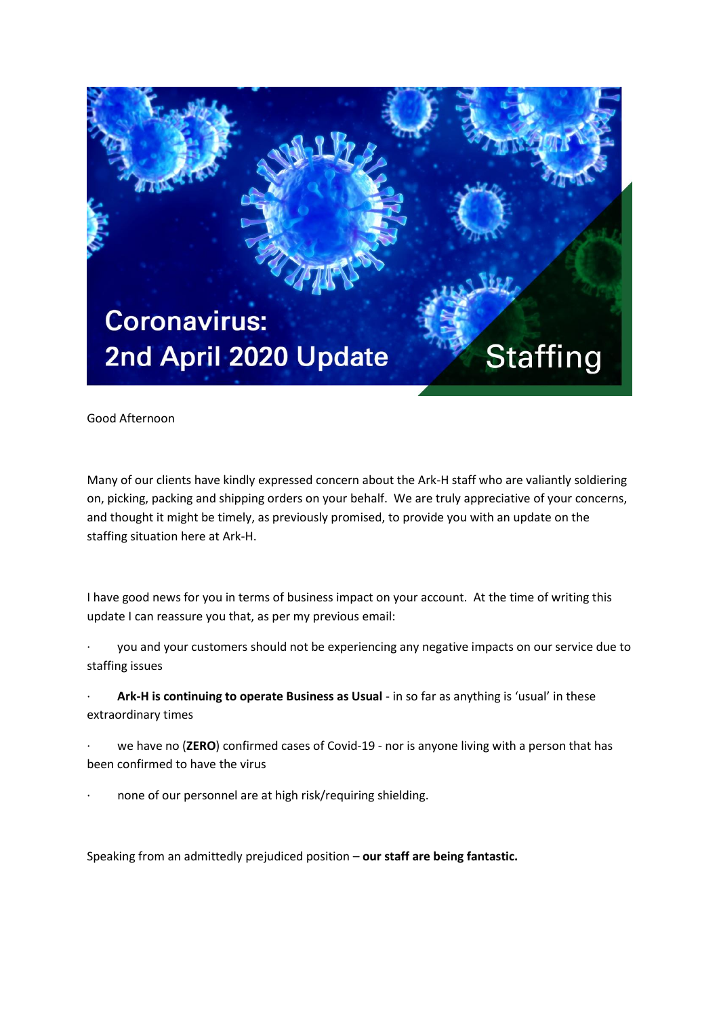

Good Afternoon

Many of our clients have kindly expressed concern about the Ark-H staff who are valiantly soldiering on, picking, packing and shipping orders on your behalf. We are truly appreciative of your concerns, and thought it might be timely, as previously promised, to provide you with an update on the staffing situation here at Ark-H.

I have good news for you in terms of business impact on your account. At the time of writing this update I can reassure you that, as per my previous email:

- you and your customers should not be experiencing any negative impacts on our service due to staffing issues
- Ark-H is continuing to operate Business as Usual in so far as anything is 'usual' in these extraordinary times
- we have no (ZERO) confirmed cases of Covid-19 nor is anyone living with a person that has been confirmed to have the virus
- none of our personnel are at high risk/requiring shielding.

Speaking from an admittedly prejudiced position – **our staff are being fantastic.**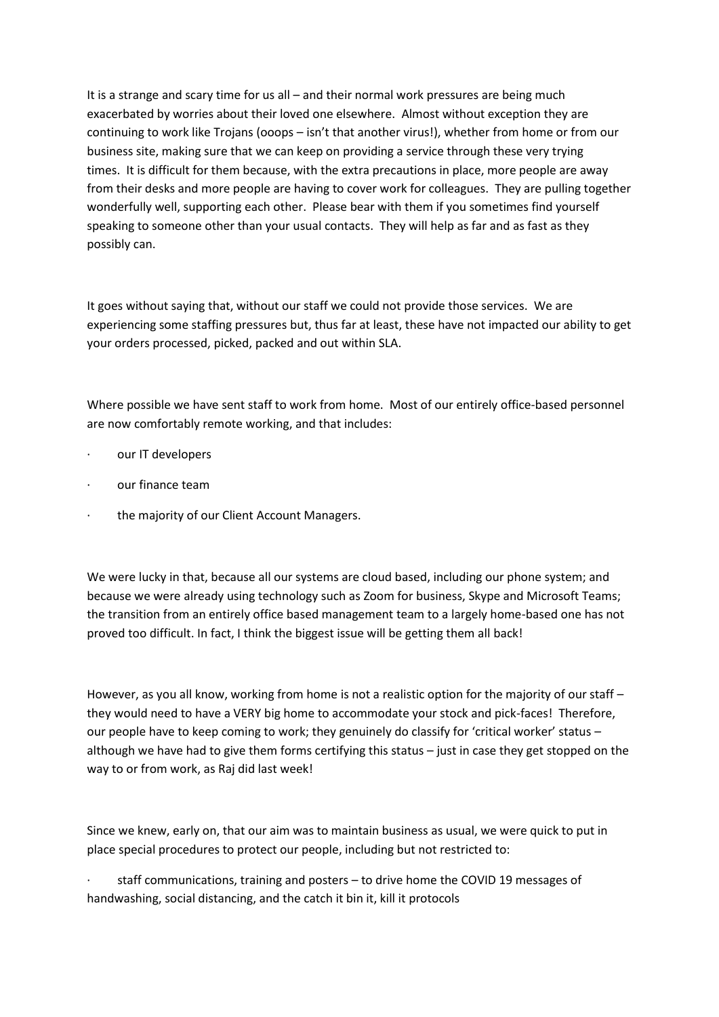It is a strange and scary time for us all – and their normal work pressures are being much exacerbated by worries about their loved one elsewhere. Almost without exception they are continuing to work like Trojans (ooops – isn't that another virus!), whether from home or from our business site, making sure that we can keep on providing a service through these very trying times. It is difficult for them because, with the extra precautions in place, more people are away from their desks and more people are having to cover work for colleagues. They are pulling together wonderfully well, supporting each other. Please bear with them if you sometimes find yourself speaking to someone other than your usual contacts. They will help as far and as fast as they possibly can.

It goes without saying that, without our staff we could not provide those services. We are experiencing some staffing pressures but, thus far at least, these have not impacted our ability to get your orders processed, picked, packed and out within SLA.

Where possible we have sent staff to work from home. Most of our entirely office-based personnel are now comfortably remote working, and that includes:

- our IT developers
- · our finance team
- the majority of our Client Account Managers.

We were lucky in that, because all our systems are cloud based, including our phone system; and because we were already using technology such as Zoom for business, Skype and Microsoft Teams; the transition from an entirely office based management team to a largely home-based one has not proved too difficult. In fact, I think the biggest issue will be getting them all back!

However, as you all know, working from home is not a realistic option for the majority of our staff – they would need to have a VERY big home to accommodate your stock and pick-faces! Therefore, our people have to keep coming to work; they genuinely do classify for 'critical worker' status – although we have had to give them forms certifying this status – just in case they get stopped on the way to or from work, as Raj did last week!

Since we knew, early on, that our aim was to maintain business as usual, we were quick to put in place special procedures to protect our people, including but not restricted to:

staff communications, training and posters – to drive home the COVID 19 messages of handwashing, social distancing, and the catch it bin it, kill it protocols